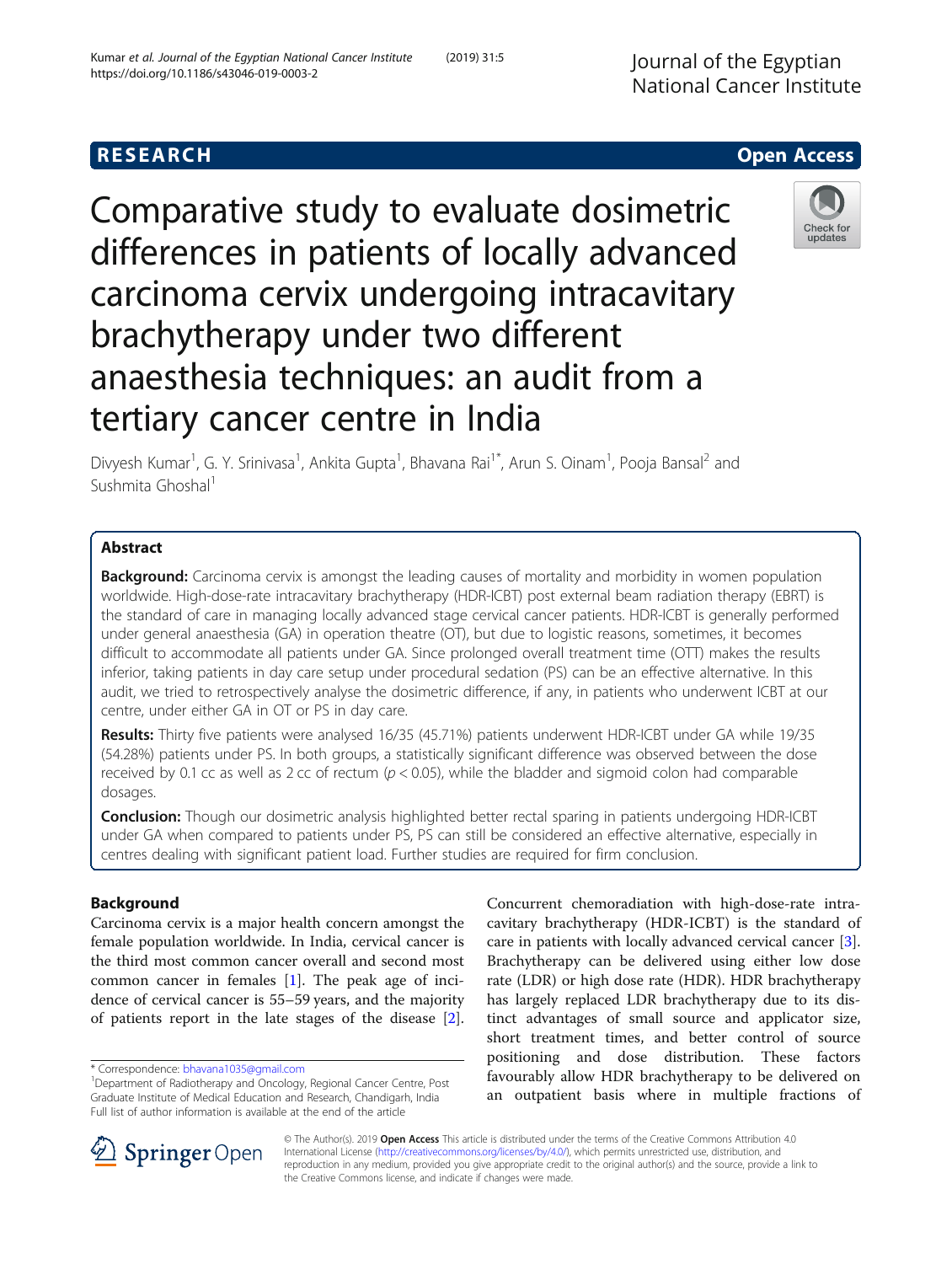# **RESEARCH CHEAR CHEAR CHEAR CHEAR CHEAR CHEAR CHEAR CHEAR CHEAR CHEAR CHEAR CHEAR CHEAR CHEAR CHEAR CHEAR CHEAR**

Comparative study to evaluate dosimetric differences in patients of locally advanced carcinoma cervix undergoing intracavitary brachytherapy under two different anaesthesia techniques: an audit from a tertiary cancer centre in India

Divyesh Kumar<sup>1</sup>, G. Y. Srinivasa<sup>1</sup>, Ankita Gupta<sup>1</sup>, Bhavana Rai<sup>1\*</sup>, Arun S. Oinam<sup>1</sup>, Pooja Bansal<sup>2</sup> and Sushmita Ghoshal<sup>1</sup>

## Abstract

**Background:** Carcinoma cervix is amongst the leading causes of mortality and morbidity in women population worldwide. High-dose-rate intracavitary brachytherapy (HDR-ICBT) post external beam radiation therapy (EBRT) is the standard of care in managing locally advanced stage cervical cancer patients. HDR-ICBT is generally performed under general anaesthesia (GA) in operation theatre (OT), but due to logistic reasons, sometimes, it becomes difficult to accommodate all patients under GA. Since prolonged overall treatment time (OTT) makes the results inferior, taking patients in day care setup under procedural sedation (PS) can be an effective alternative. In this audit, we tried to retrospectively analyse the dosimetric difference, if any, in patients who underwent ICBT at our centre, under either GA in OT or PS in day care.

Results: Thirty five patients were analysed 16/35 (45.71%) patients underwent HDR-ICBT under GA while 19/35 (54.28%) patients under PS. In both groups, a statistically significant difference was observed between the dose received by 0.1 cc as well as 2 cc of rectum ( $p < 0.05$ ), while the bladder and sigmoid colon had comparable dosages.

Conclusion: Though our dosimetric analysis highlighted better rectal sparing in patients undergoing HDR-ICBT under GA when compared to patients under PS, PS can still be considered an effective alternative, especially in centres dealing with significant patient load. Further studies are required for firm conclusion.

### Background

Carcinoma cervix is a major health concern amongst the female population worldwide. In India, cervical cancer is the third most common cancer overall and second most common cancer in females  $[1]$  $[1]$ . The peak age of incidence of cervical cancer is 55–59 years, and the majority of patients report in the late stages of the disease [\[2](#page-4-0)].

\* Correspondence: [bhavana1035@gmail.com](mailto:bhavana1035@gmail.com) <sup>1</sup>

© The Author(s). 2019 Open Access This article is distributed under the terms of the Creative Commons Attribution 4.0 International License ([http://creativecommons.org/licenses/by/4.0/\)](http://creativecommons.org/licenses/by/4.0/), which permits unrestricted use, distribution, and reproduction in any medium, provided you give appropriate credit to the original author(s) and the source, provide a link to the Creative Commons license, and indicate if changes were made.

Concurrent chemoradiation with high-dose-rate intracavitary brachytherapy (HDR-ICBT) is the standard of care in patients with locally advanced cervical cancer [\[3](#page-4-0)]. Brachytherapy can be delivered using either low dose rate (LDR) or high dose rate (HDR). HDR brachytherapy has largely replaced LDR brachytherapy due to its distinct advantages of small source and applicator size, short treatment times, and better control of source positioning and dose distribution. These factors favourably allow HDR brachytherapy to be delivered on an outpatient basis where in multiple fractions of



Check for updates

<sup>&</sup>lt;sup>1</sup>Department of Radiotherapy and Oncology, Regional Cancer Centre, Post Graduate Institute of Medical Education and Research, Chandigarh, India Full list of author information is available at the end of the article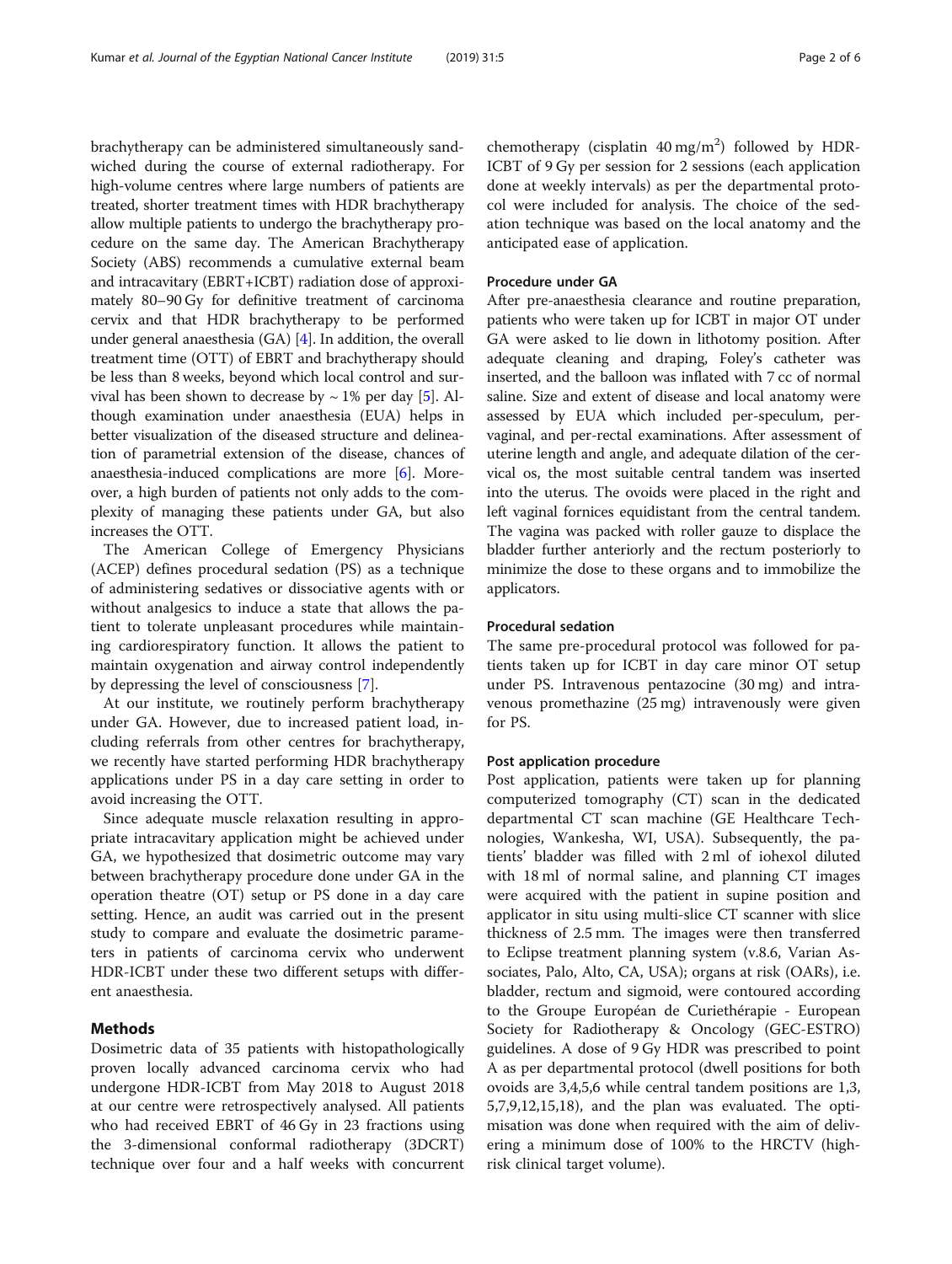brachytherapy can be administered simultaneously sandwiched during the course of external radiotherapy. For high-volume centres where large numbers of patients are treated, shorter treatment times with HDR brachytherapy allow multiple patients to undergo the brachytherapy procedure on the same day. The American Brachytherapy Society (ABS) recommends a cumulative external beam and intracavitary (EBRT+ICBT) radiation dose of approximately 80–90 Gy for definitive treatment of carcinoma cervix and that HDR brachytherapy to be performed under general anaesthesia (GA) [[4](#page-4-0)]. In addition, the overall treatment time (OTT) of EBRT and brachytherapy should be less than 8 weeks, beyond which local control and survival has been shown to decrease by  $\sim$  1% per day [[5](#page-4-0)]. Although examination under anaesthesia (EUA) helps in better visualization of the diseased structure and delineation of parametrial extension of the disease, chances of anaesthesia-induced complications are more [[6\]](#page-5-0). Moreover, a high burden of patients not only adds to the complexity of managing these patients under GA, but also increases the OTT.

The American College of Emergency Physicians (ACEP) defines procedural sedation (PS) as a technique of administering sedatives or dissociative agents with or without analgesics to induce a state that allows the patient to tolerate unpleasant procedures while maintaining cardiorespiratory function. It allows the patient to maintain oxygenation and airway control independently by depressing the level of consciousness [[7\]](#page-5-0).

At our institute, we routinely perform brachytherapy under GA. However, due to increased patient load, including referrals from other centres for brachytherapy, we recently have started performing HDR brachytherapy applications under PS in a day care setting in order to avoid increasing the OTT.

Since adequate muscle relaxation resulting in appropriate intracavitary application might be achieved under GA, we hypothesized that dosimetric outcome may vary between brachytherapy procedure done under GA in the operation theatre (OT) setup or PS done in a day care setting. Hence, an audit was carried out in the present study to compare and evaluate the dosimetric parameters in patients of carcinoma cervix who underwent HDR-ICBT under these two different setups with different anaesthesia.

### Methods

Dosimetric data of 35 patients with histopathologically proven locally advanced carcinoma cervix who had undergone HDR-ICBT from May 2018 to August 2018 at our centre were retrospectively analysed. All patients who had received EBRT of 46 Gy in 23 fractions using the 3-dimensional conformal radiotherapy (3DCRT) technique over four and a half weeks with concurrent

chemotherapy (cisplatin  $40 \text{ mg/m}^2$ ) followed by HDR-ICBT of 9 Gy per session for 2 sessions (each application done at weekly intervals) as per the departmental protocol were included for analysis. The choice of the sedation technique was based on the local anatomy and the anticipated ease of application.

### Procedure under GA

After pre-anaesthesia clearance and routine preparation, patients who were taken up for ICBT in major OT under GA were asked to lie down in lithotomy position. After adequate cleaning and draping, Foley's catheter was inserted, and the balloon was inflated with 7 cc of normal saline. Size and extent of disease and local anatomy were assessed by EUA which included per-speculum, pervaginal, and per-rectal examinations. After assessment of uterine length and angle, and adequate dilation of the cervical os, the most suitable central tandem was inserted into the uterus. The ovoids were placed in the right and left vaginal fornices equidistant from the central tandem. The vagina was packed with roller gauze to displace the bladder further anteriorly and the rectum posteriorly to minimize the dose to these organs and to immobilize the applicators.

#### Procedural sedation

The same pre-procedural protocol was followed for patients taken up for ICBT in day care minor OT setup under PS. Intravenous pentazocine (30 mg) and intravenous promethazine (25 mg) intravenously were given for PS.

#### Post application procedure

Post application, patients were taken up for planning computerized tomography (CT) scan in the dedicated departmental CT scan machine (GE Healthcare Technologies, Wankesha, WI, USA). Subsequently, the patients' bladder was filled with 2 ml of iohexol diluted with 18 ml of normal saline, and planning CT images were acquired with the patient in supine position and applicator in situ using multi-slice CT scanner with slice thickness of 2.5 mm. The images were then transferred to Eclipse treatment planning system (v.8.6, Varian Associates, Palo, Alto, CA, USA); organs at risk (OARs), i.e. bladder, rectum and sigmoid, were contoured according to the Groupe Européan de Curiethérapie - European Society for Radiotherapy & Oncology (GEC-ESTRO) guidelines. A dose of 9 Gy HDR was prescribed to point A as per departmental protocol (dwell positions for both ovoids are 3,4,5,6 while central tandem positions are 1,3, 5,7,9,12,15,18), and the plan was evaluated. The optimisation was done when required with the aim of delivering a minimum dose of 100% to the HRCTV (highrisk clinical target volume).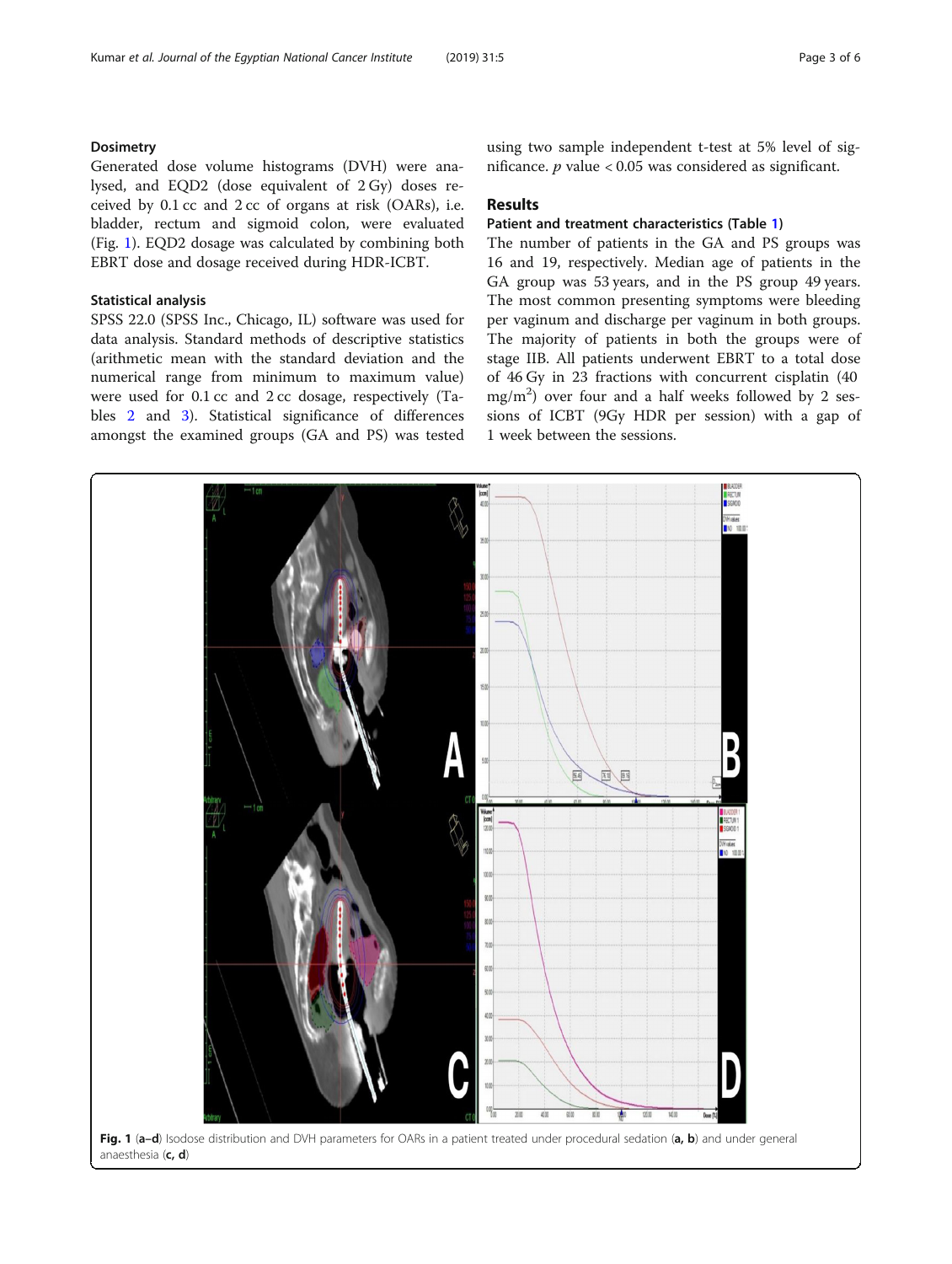### **Dosimetry**

Generated dose volume histograms (DVH) were analysed, and EQD2 (dose equivalent of 2 Gy) doses received by 0.1 cc and 2 cc of organs at risk (OARs), i.e. bladder, rectum and sigmoid colon, were evaluated (Fig. 1). EQD2 dosage was calculated by combining both EBRT dose and dosage received during HDR-ICBT.

### Statistical analysis

SPSS 22.0 (SPSS Inc., Chicago, IL) software was used for data analysis. Standard methods of descriptive statistics (arithmetic mean with the standard deviation and the numerical range from minimum to maximum value) were used for 0.1 cc and 2 cc dosage, respectively (Tables [2](#page-3-0) and [3](#page-4-0)). Statistical significance of differences amongst the examined groups (GA and PS) was tested

using two sample independent t-test at 5% level of significance.  $p$  value < 0.05 was considered as significant.

## **Results**

### Patient and treatment characteristics (Table [1\)](#page-3-0)

The number of patients in the GA and PS groups was 16 and 19, respectively. Median age of patients in the GA group was 53 years, and in the PS group 49 years. The most common presenting symptoms were bleeding per vaginum and discharge per vaginum in both groups. The majority of patients in both the groups were of stage IIB. All patients underwent EBRT to a total dose of 46 Gy in 23 fractions with concurrent cisplatin (40  $mg/m<sup>2</sup>$ ) over four and a half weeks followed by 2 sessions of ICBT (9Gy HDR per session) with a gap of 1 week between the sessions.

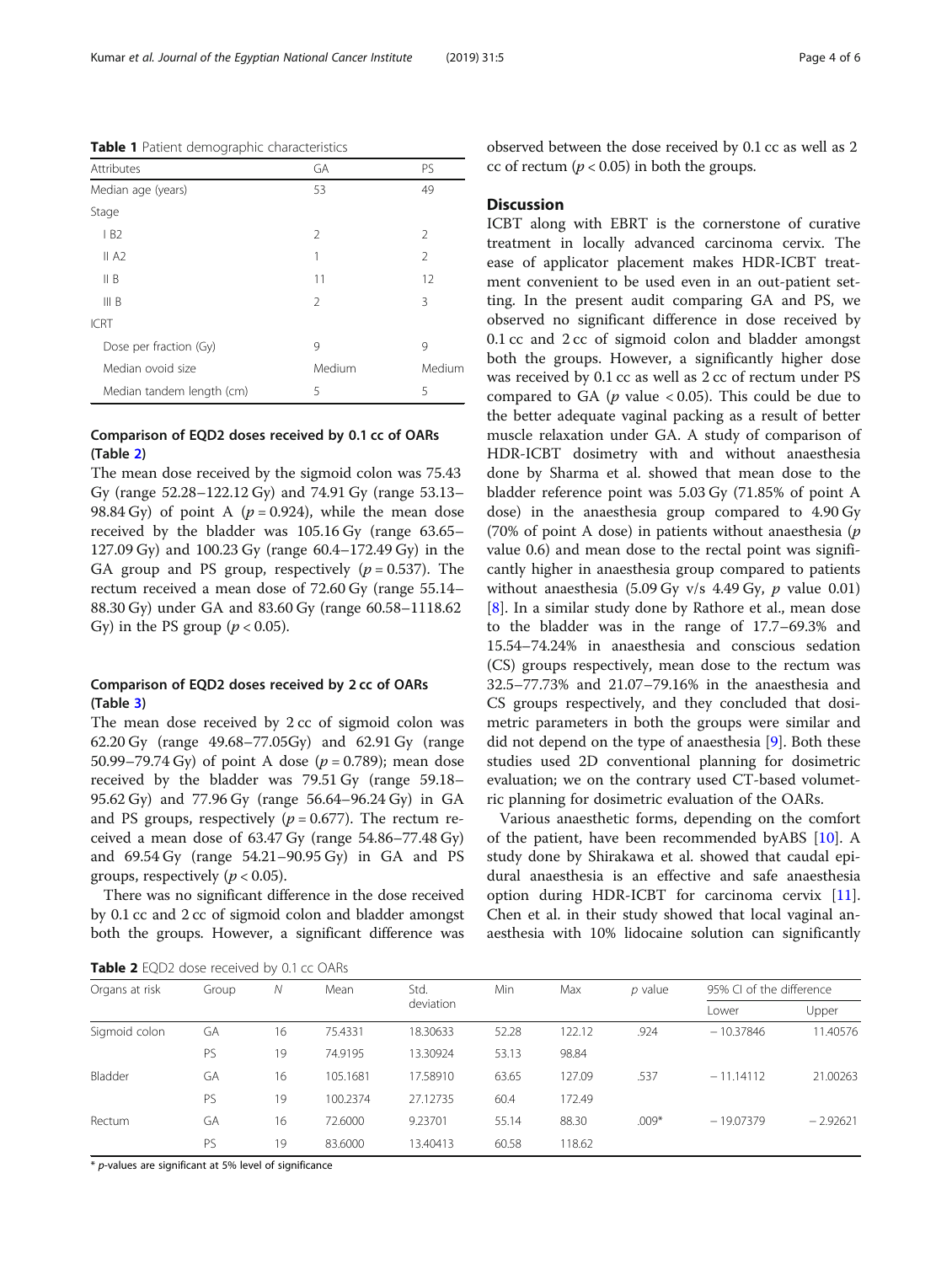<span id="page-3-0"></span>Table 1 Patient demographic characteristics

| Attributes                | GA             | PS             |
|---------------------------|----------------|----------------|
| Median age (years)        | 53             | 49             |
| Stage                     |                |                |
| IB2                       | $\mathfrak{D}$ | $\mathfrak{D}$ |
| II A2                     | 1              | $\overline{2}$ |
| II B                      | 11             | 12             |
| III B                     | $\mathcal{P}$  | 3              |
| <b>ICRT</b>               |                |                |
| Dose per fraction (Gy)    | 9              | 9              |
| Median ovoid size         | Medium         | Medium         |
| Median tandem length (cm) | 5              | 5              |

## Comparison of EQD2 doses received by 0.1 cc of OARs (Table 2)

The mean dose received by the sigmoid colon was 75.43 Gy (range 52.28–122.12 Gy) and 74.91 Gy (range 53.13– 98.84 Gy) of point A ( $p = 0.924$ ), while the mean dose received by the bladder was 105.16 Gy (range 63.65– 127.09 Gy) and 100.23 Gy (range 60.4–172.49 Gy) in the GA group and PS group, respectively  $(p = 0.537)$ . The rectum received a mean dose of 72.60 Gy (range 55.14– 88.30 Gy) under GA and 83.60 Gy (range 60.58–1118.62 Gy) in the PS group ( $p < 0.05$ ).

### Comparison of EQD2 doses received by 2 cc of OARs (Table [3\)](#page-4-0)

The mean dose received by 2 cc of sigmoid colon was 62.20 Gy (range 49.68–77.05Gy) and 62.91 Gy (range 50.99–79.74 Gy) of point A dose ( $p = 0.789$ ); mean dose received by the bladder was 79.51 Gy (range 59.18– 95.62 Gy) and 77.96 Gy (range 56.64–96.24 Gy) in GA and PS groups, respectively ( $p = 0.677$ ). The rectum received a mean dose of 63.47 Gy (range 54.86–77.48 Gy) and 69.54 Gy (range 54.21–90.95 Gy) in GA and PS groups, respectively ( $p < 0.05$ ).

There was no significant difference in the dose received by 0.1 cc and 2 cc of sigmoid colon and bladder amongst both the groups. However, a significant difference was observed between the dose received by 0.1 cc as well as 2 cc of rectum ( $p < 0.05$ ) in both the groups.

### **Discussion**

ICBT along with EBRT is the cornerstone of curative treatment in locally advanced carcinoma cervix. The ease of applicator placement makes HDR-ICBT treatment convenient to be used even in an out-patient setting. In the present audit comparing GA and PS, we observed no significant difference in dose received by 0.1 cc and 2 cc of sigmoid colon and bladder amongst both the groups. However, a significantly higher dose was received by 0.1 cc as well as 2 cc of rectum under PS compared to GA ( $p$  value < 0.05). This could be due to the better adequate vaginal packing as a result of better muscle relaxation under GA. A study of comparison of HDR-ICBT dosimetry with and without anaesthesia done by Sharma et al. showed that mean dose to the bladder reference point was 5.03 Gy (71.85% of point A dose) in the anaesthesia group compared to 4.90 Gy (70% of point A dose) in patients without anaesthesia  $(p)$ value 0.6) and mean dose to the rectal point was significantly higher in anaesthesia group compared to patients without anaesthesia  $(5.09 \text{ Gy y/s } 4.49 \text{ Gy}, p \text{ value } 0.01)$ [[8\]](#page-5-0). In a similar study done by Rathore et al., mean dose to the bladder was in the range of 17.7–69.3% and 15.54–74.24% in anaesthesia and conscious sedation (CS) groups respectively, mean dose to the rectum was 32.5–77.73% and 21.07–79.16% in the anaesthesia and CS groups respectively, and they concluded that dosimetric parameters in both the groups were similar and did not depend on the type of anaesthesia [\[9\]](#page-5-0). Both these studies used 2D conventional planning for dosimetric evaluation; we on the contrary used CT-based volumetric planning for dosimetric evaluation of the OARs.

Various anaesthetic forms, depending on the comfort of the patient, have been recommended byABS [\[10](#page-5-0)]. A study done by Shirakawa et al. showed that caudal epidural anaesthesia is an effective and safe anaesthesia option during HDR-ICBT for carcinoma cervix [\[11](#page-5-0)]. Chen et al. in their study showed that local vaginal anaesthesia with 10% lidocaine solution can significantly

Table 2 EQD2 dose received by 0.1 cc OARs

| <b>TWATE</b> EQUE GOJE TECHNICA DY ON CE OF THE |       |    |          |                   |       |        |           |                          |            |
|-------------------------------------------------|-------|----|----------|-------------------|-------|--------|-----------|--------------------------|------------|
| Organs at risk                                  | Group | Ν  | Mean     | Std.<br>deviation | Min   | Max    | $p$ value | 95% CI of the difference |            |
|                                                 |       |    |          |                   |       |        |           | Lower                    | Upper      |
| Sigmoid colon                                   | GA    | 16 | 75.4331  | 18.30633          | 52.28 | 122.12 | .924      | $-10.37846$              | 11.40576   |
|                                                 | PS    | 19 | 74.9195  | 13.30924          | 53.13 | 98.84  |           |                          |            |
| Bladder                                         | GA    | 16 | 105.1681 | 17.58910          | 63.65 | 127.09 | .537      | $-11,14112$              | 21.00263   |
|                                                 | PS    | 19 | 100.2374 | 27.12735          | 60.4  | 172.49 |           |                          |            |
| Rectum                                          | GA    | 16 | 72,6000  | 9.23701           | 55.14 | 88.30  | $.009*$   | $-19.07379$              | $-2.92621$ |
|                                                 | PS    | 19 | 83,6000  | 13.40413          | 60.58 | 118.62 |           |                          |            |

\* p-values are significant at 5% level of significance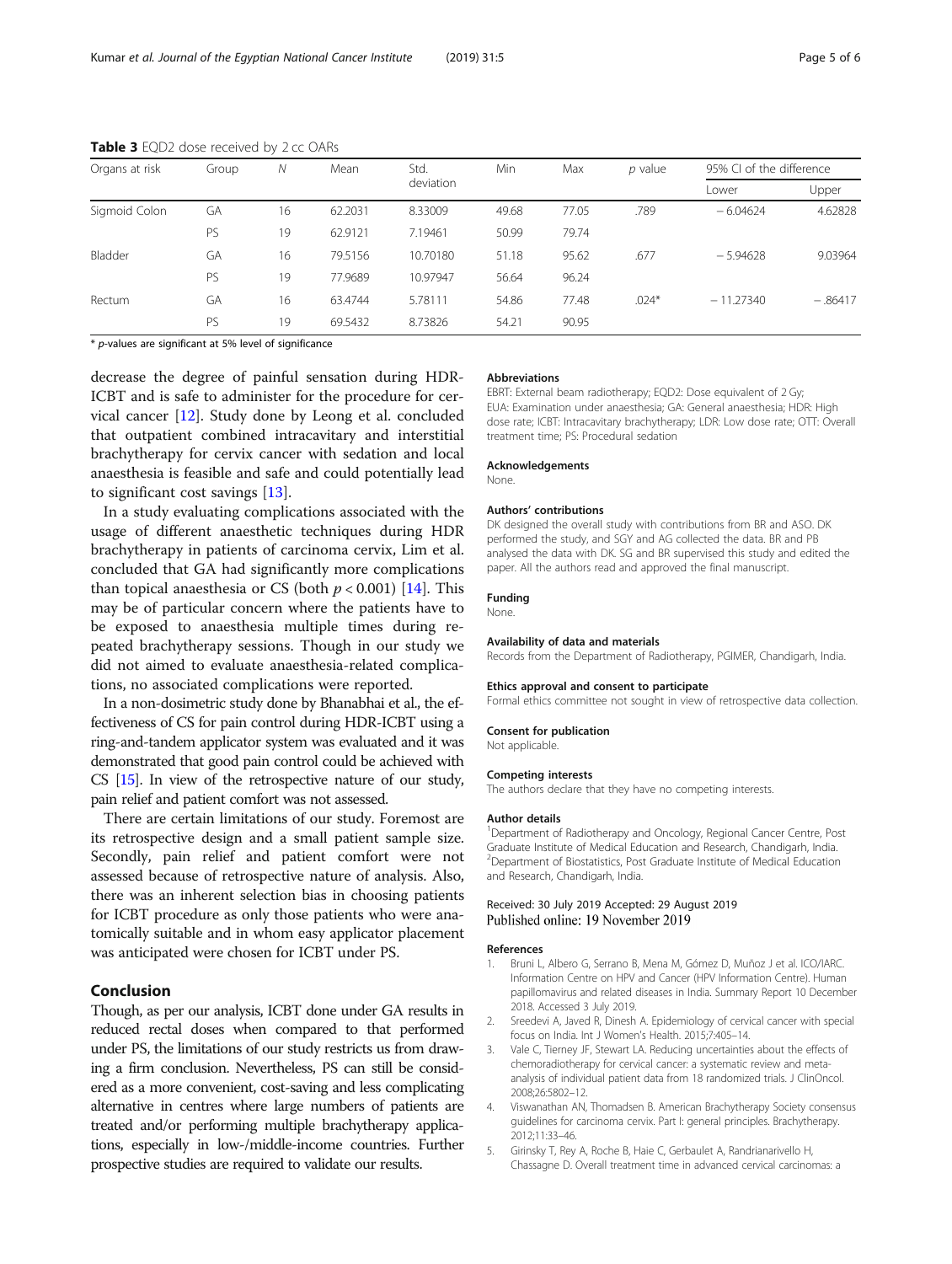| Organs at risk | Group | Ν  | Mean    | Std.<br>deviation | Min   | Max   | $p$ value | 95% CI of the difference |           |
|----------------|-------|----|---------|-------------------|-------|-------|-----------|--------------------------|-----------|
|                |       |    |         |                   |       |       |           | Lower                    | Upper     |
| Sigmoid Colon  | GA    | 16 | 62.2031 | 8.33009           | 49.68 | 77.05 | .789      | $-6.04624$               | 4.62828   |
|                | PS    | 19 | 62.9121 | 7.19461           | 50.99 | 79.74 |           |                          |           |
| Bladder        | GA    | 16 | 79.5156 | 10.70180          | 51.18 | 95.62 | .677      | $-5.94628$               | 9.03964   |
|                | PS    | 19 | 77.9689 | 10.97947          | 56.64 | 96.24 |           |                          |           |
| Rectum         | GA    | 16 | 63.4744 | 5.78111           | 54.86 | 77.48 | $.024*$   | $-11.27340$              | $-.86417$ |
|                | PS    | 19 | 69.5432 | 8.73826           | 54.21 | 90.95 |           |                          |           |

#### <span id="page-4-0"></span>Table 3 EQD2 dose received by 2 cc OARs

\* p-values are significant at 5% level of significance

decrease the degree of painful sensation during HDR-ICBT and is safe to administer for the procedure for cervical cancer [\[12](#page-5-0)]. Study done by Leong et al. concluded that outpatient combined intracavitary and interstitial brachytherapy for cervix cancer with sedation and local anaesthesia is feasible and safe and could potentially lead to significant cost savings [\[13](#page-5-0)].

In a study evaluating complications associated with the usage of different anaesthetic techniques during HDR brachytherapy in patients of carcinoma cervix, Lim et al. concluded that GA had significantly more complications than topical anaesthesia or CS (both  $p < 0.001$ ) [\[14](#page-5-0)]. This may be of particular concern where the patients have to be exposed to anaesthesia multiple times during repeated brachytherapy sessions. Though in our study we did not aimed to evaluate anaesthesia-related complications, no associated complications were reported.

In a non-dosimetric study done by Bhanabhai et al., the effectiveness of CS for pain control during HDR-ICBT using a ring-and-tandem applicator system was evaluated and it was demonstrated that good pain control could be achieved with CS [\[15](#page-5-0)]. In view of the retrospective nature of our study, pain relief and patient comfort was not assessed.

There are certain limitations of our study. Foremost are its retrospective design and a small patient sample size. Secondly, pain relief and patient comfort were not assessed because of retrospective nature of analysis. Also, there was an inherent selection bias in choosing patients for ICBT procedure as only those patients who were anatomically suitable and in whom easy applicator placement was anticipated were chosen for ICBT under PS.

### Conclusion

Though, as per our analysis, ICBT done under GA results in reduced rectal doses when compared to that performed under PS, the limitations of our study restricts us from drawing a firm conclusion. Nevertheless, PS can still be considered as a more convenient, cost-saving and less complicating alternative in centres where large numbers of patients are treated and/or performing multiple brachytherapy applications, especially in low-/middle-income countries. Further prospective studies are required to validate our results.

#### Abbreviations

EBRT: External beam radiotherapy; EQD2: Dose equivalent of 2 Gy; EUA: Examination under anaesthesia; GA: General anaesthesia; HDR: High dose rate; ICBT: Intracavitary brachytherapy; LDR: Low dose rate; OTT: Overall treatment time; PS: Procedural sedation

#### Acknowledgements

None.

#### Authors' contributions

DK designed the overall study with contributions from BR and ASO. DK performed the study, and SGY and AG collected the data. BR and PB analysed the data with DK. SG and BR supervised this study and edited the paper. All the authors read and approved the final manuscript.

#### Funding

None.

#### Availability of data and materials

Records from the Department of Radiotherapy, PGIMER, Chandigarh, India.

## Formal ethics committee not sought in view of retrospective data collection.

Ethics approval and consent to participate

Consent for publication

Not applicable

#### Competing interests

The authors declare that they have no competing interests.

#### Author details

<sup>1</sup>Department of Radiotherapy and Oncology, Regional Cancer Centre, Post Graduate Institute of Medical Education and Research, Chandigarh, India. <sup>2</sup>Department of Biostatistics, Post Graduate Institute of Medical Education and Research, Chandigarh, India.

### Received: 30 July 2019 Accepted: 29 August 2019 Published online: 19 November 2019

#### References

- 1. Bruni L, Albero G, Serrano B, Mena M, Gómez D, Muñoz J et al. ICO/IARC. Information Centre on HPV and Cancer (HPV Information Centre). Human papillomavirus and related diseases in India. Summary Report 10 December 2018. Accessed 3 July 2019.
- 2. Sreedevi A, Javed R, Dinesh A. Epidemiology of cervical cancer with special focus on India. Int J Women's Health. 2015;7:405–14.
- 3. Vale C, Tierney JF, Stewart LA. Reducing uncertainties about the effects of chemoradiotherapy for cervical cancer: a systematic review and metaanalysis of individual patient data from 18 randomized trials. J ClinOncol. 2008;26:5802–12.
- 4. Viswanathan AN, Thomadsen B. American Brachytherapy Society consensus guidelines for carcinoma cervix. Part I: general principles. Brachytherapy. 2012;11:33–46.
- 5. Girinsky T, Rey A, Roche B, Haie C, Gerbaulet A, Randrianarivello H, Chassagne D. Overall treatment time in advanced cervical carcinomas: a